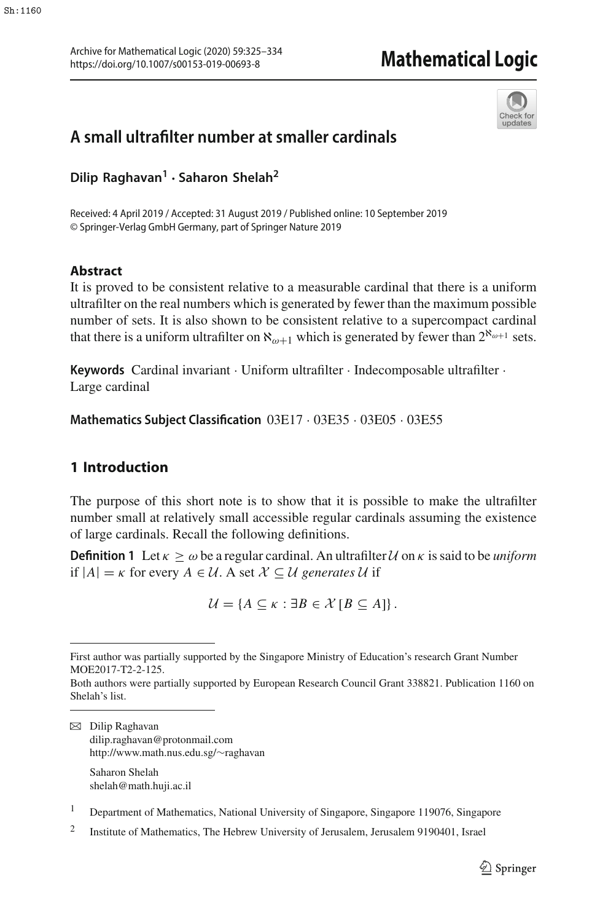

# **A small ultrafilter number at smaller cardinals**

**Dilip Raghavan<sup>1</sup> · Saharon Shelah<sup>2</sup>**

Received: 4 April 2019 / Accepted: 31 August 2019 / Published online: 10 September 2019 © Springer-Verlag GmbH Germany, part of Springer Nature 2019

## **Abstract**

It is proved to be consistent relative to a measurable cardinal that there is a uniform ultrafilter on the real numbers which is generated by fewer than the maximum possible number of sets. It is also shown to be consistent relative to a supercompact cardinal that there is a uniform ultrafilter on  $\aleph_{\omega+1}$  which is generated by fewer than  $2^{\aleph_{\omega+1}}$  sets.

**Keywords** Cardinal invariant · Uniform ultrafilter · Indecomposable ultrafilter · Large cardinal

**Mathematics Subject Classification** 03E17 · 03E35 · 03E05 · 03E55

# <span id="page-0-0"></span>**1 Introduction**

The purpose of this short note is to show that it is possible to make the ultrafilter number small at relatively small accessible regular cardinals assuming the existence of large cardinals. Recall the following definitions.

**Definition 1** Let  $\kappa \geq \omega$  be a regular cardinal. An ultrafilter *U* on  $\kappa$  is said to be *uniform* if  $|A| = \kappa$  for every  $A \in \mathcal{U}$ . A set  $\mathcal{X} \subseteq \mathcal{U}$  generates  $\mathcal{U}$  if

 $\mathcal{U} = \{A \subseteq \kappa : \exists B \in \mathcal{X} \, [B \subseteq A]\}.$ 

B Dilip Raghavan dilip.raghavan@protonmail.com http://www.math.nus.edu.sg/∼raghavan Saharon Shelah

shelah@math.huji.ac.il

<sup>1</sup> Department of Mathematics, National University of Singapore, Singapore 119076, Singapore

<sup>2</sup> Institute of Mathematics, The Hebrew University of Jerusalem, Jerusalem 9190401, Israel

First author was partially supported by the Singapore Ministry of Education's research Grant Number MOE2017-T2-2-125.

Both authors were partially supported by European Research Council Grant 338821. Publication 1160 on Shelah's list.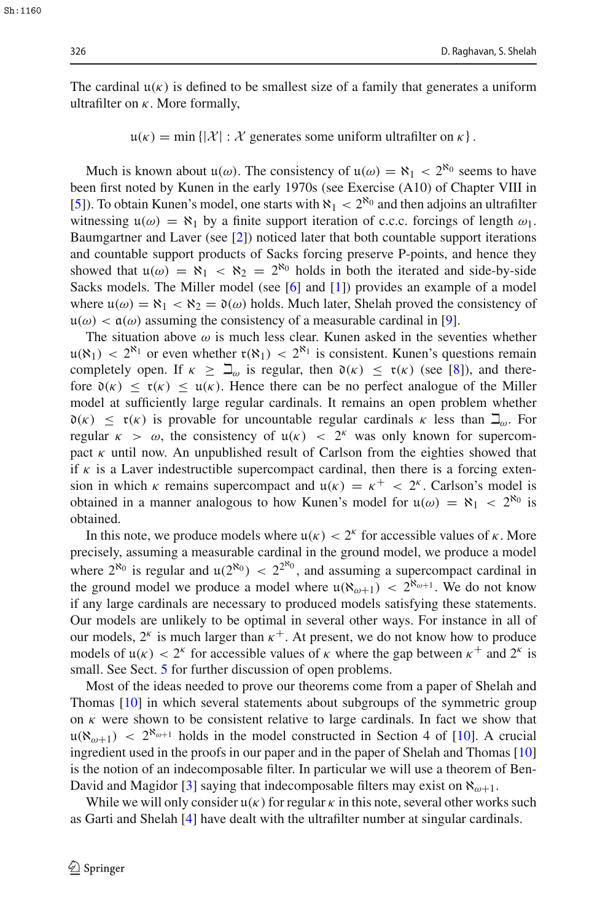The cardinal  $\mathfrak{u}(\kappa)$  is defined to be smallest size of a family that generates a uniform ultrafilter on  $\kappa$ . More formally,

 $u(\kappa) = \min \{ |\mathcal{X}| : \mathcal{X} \}$  generates some uniform ultrafilter on  $\kappa \}$ .

Much is known about  $u(\omega)$ . The consistency of  $u(\omega) = \aleph_1 < 2^{\aleph_0}$  seems to have been first noted by Kunen in the early 1970s (see Exercise (A10) of Chapter VIII in [\[5](#page-9-0)]). To obtain Kunen's model, one starts with  $\aleph_1 < 2^{\aleph_0}$  and then adjoins an ultrafilter witnessing  $\mathfrak{u}(\omega) = \aleph_1$  by a finite support iteration of c.c.c. forcings of length  $\omega_1$ . Baumgartner and Laver (see [\[2\]](#page-9-1)) noticed later that both countable support iterations and countable support products of Sacks forcing preserve P-points, and hence they showed that  $u(\omega) = \aleph_1 < \aleph_2 = 2^{\aleph_0}$  holds in both the iterated and side-by-side Sacks models. The Miller model (see [\[6](#page-9-2)] and [\[1](#page-8-0)]) provides an example of a model where  $\mu(\omega) = \aleph_1 < \aleph_2 = \mathfrak{d}(\omega)$  holds. Much later, Shelah proved the consistency of  $u(\omega) < \mathfrak{a}(\omega)$  assuming the consistency of a measurable cardinal in [\[9](#page-9-3)].

The situation above  $\omega$  is much less clear. Kunen asked in the seventies whether  $u(\aleph_1) < 2^{\aleph_1}$  or even whether  $\mathfrak{r}(\aleph_1) < 2^{\aleph_1}$  is consistent. Kunen's questions remain completely open. If  $\kappa \geq \beth_\omega$  is regular, then  $\mathfrak{d}(\kappa) \leq \mathfrak{r}(\kappa)$  (see [\[8\]](#page-9-4)), and therefore  $\mathfrak{d}(\kappa) \leq \mathfrak{r}(\kappa) \leq \mathfrak{u}(\kappa)$ . Hence there can be no perfect analogue of the Miller model at sufficiently large regular cardinals. It remains an open problem whether  $\mathfrak{d}(\kappa) \leq \mathfrak{r}(\kappa)$  is provable for uncountable regular cardinals  $\kappa$  less than  $\mathfrak{Q}_{\omega}$ . For regular  $\kappa > \omega$ , the consistency of  $u(\kappa) < 2^{\kappa}$  was only known for supercompact  $\kappa$  until now. An unpublished result of Carlson from the eighties showed that if  $\kappa$  is a Laver indestructible supercompact cardinal, then there is a forcing extension in which  $\kappa$  remains supercompact and  $\mu(\kappa) = \kappa^+ < 2^{\kappa}$ . Carlson's model is obtained in a manner analogous to how Kunen's model for  $u(\omega) = \aleph_1 < 2^{\aleph_0}$  is obtained.

In this note, we produce models where  $u(\kappa) < 2^{\kappa}$  for accessible values of  $\kappa$ . More precisely, assuming a measurable cardinal in the ground model, we produce a model where  $2^{\aleph_0}$  is regular and  $u(2^{\aleph_0}) < 2^{2^{\aleph_0}}$ , and assuming a supercompact cardinal in the ground model we produce a model where  $\mu(\aleph_{\omega+1}) < 2^{\aleph_{\omega+1}}$ . We do not know if any large cardinals are necessary to produced models satisfying these statements. Our models are unlikely to be optimal in several other ways. For instance in all of our models,  $2^k$  is much larger than  $\kappa^+$ . At present, we do not know how to produce models of  $\mu(\kappa) < 2^{\kappa}$  for accessible values of  $\kappa$  where the gap between  $\kappa^+$  and  $2^{\kappa}$  is small. See Sect. [5](#page-8-1) for further discussion of open problems.

Most of the ideas needed to prove our theorems come from a paper of Shelah and Thomas [\[10\]](#page-9-5) in which several statements about subgroups of the symmetric group on  $\kappa$  were shown to be consistent relative to large cardinals. In fact we show that  $u(\aleph_{\omega+1})$  <  $2^{\aleph_{\omega+1}}$  holds in the model constructed in Section 4 of [\[10](#page-9-5)]. A crucial ingredient used in the proofs in our paper and in the paper of Shelah and Thomas [\[10\]](#page-9-5) is the notion of an indecomposable filter. In particular we will use a theorem of Ben-David and Magidor [\[3](#page-9-6)] saying that indecomposable filters may exist on  $\aleph_{\omega+1}$ .

While we will only consider  $u(\kappa)$  for regular  $\kappa$  in this note, several other works such as Garti and Shelah [\[4](#page-9-7)] have dealt with the ultrafilter number at singular cardinals.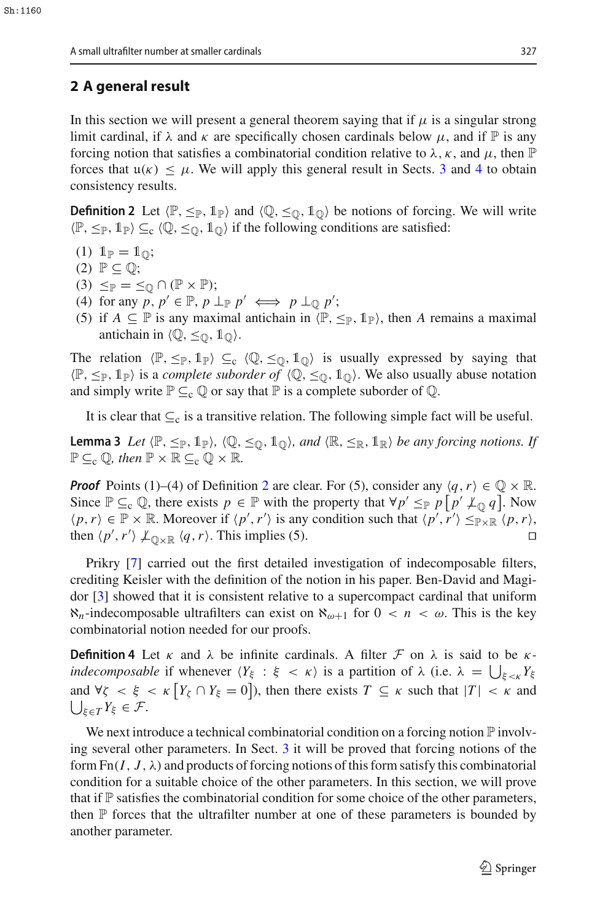# **2 A general result**

In this section we will present a general theorem saying that if  $\mu$  is a singular strong limit cardinal, if  $\lambda$  and  $\kappa$  are specifically chosen cardinals below  $\mu$ , and if  $\mathbb P$  is any forcing notion that satisfies a combinatorial condition relative to  $\lambda$ ,  $\kappa$ , and  $\mu$ , then  $\mathbb P$ forces that  $u(\kappa) \leq \mu$ . We will apply this general result in Sects. [3](#page-5-0) and [4](#page-7-0) to obtain consistency results.

<span id="page-2-0"></span>**Definition 2** Let  $\langle \mathbb{P}, \leq_{\mathbb{P}}, \mathbb{1}_{\mathbb{P}} \rangle$  and  $\langle \mathbb{Q}, \leq_{\mathbb{Q}}, \mathbb{1}_{\mathbb{Q}} \rangle$  be notions of forcing. We will write  $\langle \mathbb{P}, \leq_{\mathbb{P}}, 1_{\mathbb{P}} \rangle \subseteq_{c} \langle \mathbb{Q}, \leq_{\mathbb{Q}}, 1_{\mathbb{Q}} \rangle$  if the following conditions are satisfied:

- (1)  $1_{\mathbb{P}} = 1_{\mathbb{O}};$
- $(2)$   $\mathbb{P} \subseteq \mathbb{Q}$ ;
- $(3) \leq_{\mathbb{P}} = \leq_{\mathbb{Q}} \cap (\mathbb{P} \times \mathbb{P});$
- (4) for any  $p, p' \in \mathbb{P}, p \perp_{\mathbb{P}} p' \iff p \perp_{\mathbb{Q}} p'$ ;
- (5) if  $A \subseteq \mathbb{P}$  is any maximal antichain in  $\langle \mathbb{P}, \leq_{\mathbb{P}}, \mathbb{1}_{\mathbb{P}}\rangle$ , then *A* remains a maximal antichain in  $\langle \mathbb{Q}, \leq_{\mathbb{Q}}, \mathbb{1}_{\mathbb{Q}} \rangle$ .

The relation  $\langle \mathbb{P}, \leq_{\mathbb{P}}, \mathbb{1}_{\mathbb{P}}\rangle \subseteq_{c} \langle \mathbb{Q}, \leq_{\mathbb{Q}}, \mathbb{1}_{\mathbb{Q}}\rangle$  is usually expressed by saying that  $\langle \mathbb{P}, \leq_{\mathbb{P}}, 1_{\mathbb{P}} \rangle$  is a *complete suborder of*  $\langle \mathbb{Q}, \leq_{\mathbb{Q}}, 1_{\mathbb{Q}} \rangle$ . We also usually abuse notation and simply write  $\mathbb{P} \subseteq_{\mathbb{C}} \mathbb{Q}$  or say that  $\mathbb{P}$  is a complete suborder of  $\mathbb{Q}$ .

It is clear that  $\subseteq_c$  is a transitive relation. The following simple fact will be useful.

**Lemma 3** *Let*  $\langle \mathbb{P}, \leq_{\mathbb{P}}, \mathbb{1}_{\mathbb{P}} \rangle$ ,  $\langle \mathbb{Q}, \leq_{\mathbb{Q}}, \mathbb{1}_{\mathbb{Q}} \rangle$ , and  $\langle \mathbb{R}, \leq_{\mathbb{R}}, \mathbb{1}_{\mathbb{R}} \rangle$  *be any forcing notions. If*  $\mathbb{P} \subseteq_{\mathrm{c}} \mathbb{Q}$ *, then*  $\mathbb{P} \times \mathbb{R} \subseteq_{\mathrm{c}} \mathbb{Q} \times \mathbb{R}$ *.* 

*Proof* Points (1)–(4) of Definition [2](#page-2-0) are clear. For (5), consider any  $\langle q, r \rangle \in \mathbb{Q} \times \mathbb{R}$ . Since  $\mathbb{P} \subseteq_{\mathbb{C}} \mathbb{Q}$ , there exists  $p \in \mathbb{P}$  with the property that  $\forall p' \leq_{\mathbb{P}} p[p' \not\perp_{\mathbb{Q}} q]$ . Now  $\langle p, r \rangle \in \mathbb{P} \times \mathbb{R}$ . Moreover if  $\langle p', r' \rangle$  is any condition such that  $\langle p', r' \rangle \leq_{\mathbb{P} \times \mathbb{R}} \langle p, r \rangle$ , then  $\langle p', r' \rangle \nperp_{\mathbb{Q} \times \mathbb{R}} \langle q, r \rangle$ . This implies (5).

Prikry [\[7](#page-9-8)] carried out the first detailed investigation of indecomposable filters, crediting Keisler with the definition of the notion in his paper. Ben-David and Magidor [\[3](#page-9-6)] showed that it is consistent relative to a supercompact cardinal that uniform  $\aleph_n$ -indecomposable ultrafilters can exist on  $\aleph_{\omega+1}$  for  $0 < n < \omega$ . This is the key combinatorial notion needed for our proofs.

**Definition 4** Let  $\kappa$  and  $\lambda$  be infinite cardinals. A filter  $\mathcal F$  on  $\lambda$  is said to be  $\kappa$ *indecomposable* if whenever  $\langle Y_\xi : \xi \langle \kappa \rangle$  is a partition of  $\lambda$  (i.e.  $\lambda = \bigcup_{\xi \langle \kappa]} Y_\xi$ and  $\forall \zeta < \xi < \kappa$  [ $Y_{\zeta} \cap Y_{\xi} = 0$ ]), then there exists  $T \subseteq \kappa$  such that  $|T| < \kappa$  and  $\bigcup_{\xi \in T} Y_{\xi} \in \mathcal{F}.$ 

<span id="page-2-1"></span>We next introduce a technical combinatorial condition on a forcing notion  $\mathbb P$  involving several other parameters. In Sect. [3](#page-5-0) it will be proved that forcing notions of the form  $Fn(I, J, \lambda)$  and products of forcing notions of this form satisfy this combinatorial condition for a suitable choice of the other parameters. In this section, we will prove that if  $\mathbb P$  satisfies the combinatorial condition for some choice of the other parameters, then  $\mathbb P$  forces that the ultrafilter number at one of these parameters is bounded by another parameter.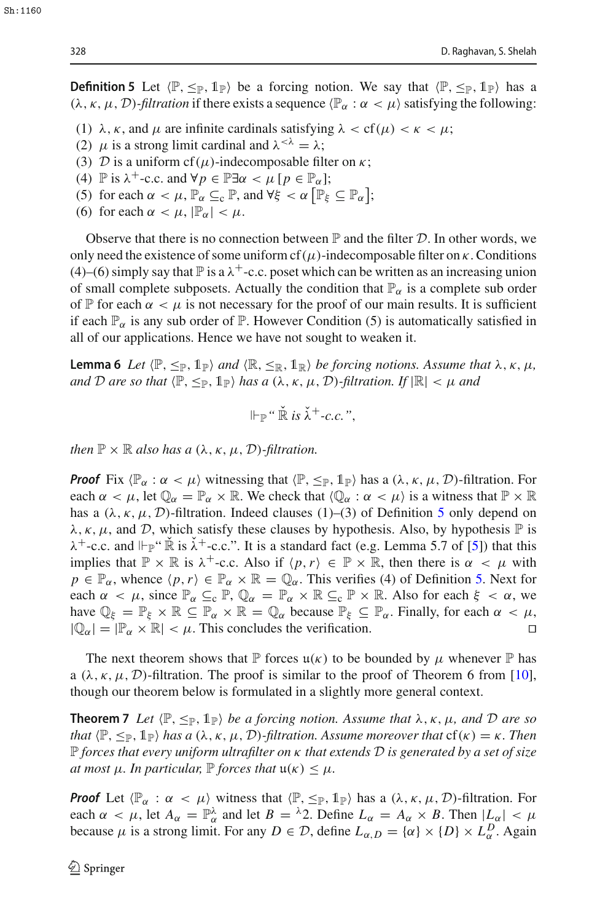**Definition 5** Let  $\langle \mathbb{P}, \leq_{\mathbb{P}}, \mathbb{1}_{\mathbb{P}} \rangle$  be a forcing notion. We say that  $\langle \mathbb{P}, \leq_{\mathbb{P}}, \mathbb{1}_{\mathbb{P}} \rangle$  has a ( $\lambda$ ,  $\kappa$ ,  $\mu$ ,  $\mathcal{D}$ )*-filtration* if there exists a sequence  $\langle \mathbb{P}_{\alpha} : \alpha < \mu \rangle$  satisfying the following:

- (1)  $\lambda$ ,  $\kappa$ , and  $\mu$  are infinite cardinals satisfying  $\lambda <$  cf( $\mu$ )  $\lt \kappa < \mu$ ;
- (2)  $\mu$  is a strong limit cardinal and  $\lambda^{<\lambda} = \lambda$ ;
- (3) *D* is a uniform cf( $\mu$ )-indecomposable filter on  $\kappa$ ;
- (4)  $\mathbb{P}$  is  $\lambda^{+}$ -c.c. and  $\forall p \in \mathbb{P}$   $\exists \alpha < \mu \ [p \in \mathbb{P}_{\alpha}$ ];
- (5) for each  $\alpha < \mu$ ,  $\mathbb{P}_{\alpha} \subseteq_{c} \mathbb{P}$ , and  $\forall \xi < \alpha \left[ \mathbb{P}_{\xi} \subseteq \mathbb{P}_{\alpha} \right]$ ;
- (6) for each  $\alpha < \mu$ ,  $|\mathbb{P}_{\alpha}| < \mu$ .

Observe that there is no connection between  $\mathbb P$  and the filter  $\mathcal D$ . In other words, we only need the existence of some uniform cf( $\mu$ )-indecomposable filter on  $\kappa$ . Conditions (4)–(6) simply say that  $\mathbb P$  is a  $\lambda^+$ -c.c. poset which can be written as an increasing union of small complete subposets. Actually the condition that  $\mathbb{P}_{\alpha}$  is a complete sub order of P for each  $\alpha < \mu$  is not necessary for the proof of our main results. It is sufficient if each  $\mathbb{P}_{\alpha}$  is any sub order of  $\mathbb{P}$ . However Condition (5) is automatically satisfied in all of our applications. Hence we have not sought to weaken it.

**Lemma 6** *Let*  $\langle \mathbb{P}, \leq_{\mathbb{P}}, \mathbb{1}_{\mathbb{P}} \rangle$  *and*  $\langle \mathbb{R}, \leq_{\mathbb{R}}, \mathbb{1}_{\mathbb{R}} \rangle$  *be forcing notions. Assume that*  $\lambda, \kappa, \mu$ *, and D* are so that  $\langle \mathbb{P}, \leq_{\mathbb{P}}, \mathbb{1}_{\mathbb{P}} \rangle$  has a  $(\lambda, \kappa, \mu, \mathcal{D})$ *-filtration. If*  $|\mathbb{R}| < \mu$  and

<span id="page-3-1"></span><span id="page-3-0"></span>
$$
\Vdash_{\mathbb{P}} \text{`` } \check{\mathbb{R}} \text{ is } \check{\lambda}^+ \text{-} c.c. \text{''},
$$

*then*  $\mathbb{P} \times \mathbb{R}$  *also has a*  $(\lambda, \kappa, \mu, \mathcal{D})$ *-filtration.* 

*Proof* Fix  $\langle \mathbb{P}_{\alpha} : \alpha \langle \mu \rangle$  witnessing that  $\langle \mathbb{P}, \leq_{\mathbb{P}}, \mathbb{1}_{\mathbb{P}} \rangle$  has a  $(\lambda, \kappa, \mu, \mathcal{D})$ -filtration. For each  $\alpha < \mu$ , let  $\mathbb{Q}_\alpha = \mathbb{P}_\alpha \times \mathbb{R}$ . We check that  $\langle \mathbb{Q}_\alpha : \alpha < \mu \rangle$  is a witness that  $\mathbb{P} \times \mathbb{R}$ has a  $(\lambda, \kappa, \mu, \mathcal{D})$ -filtration. Indeed clauses (1)–(3) of Definition [5](#page-2-1) only depend on  $\lambda$ ,  $\kappa$ ,  $\mu$ , and  $\mathcal{D}$ , which satisfy these clauses by hypothesis. Also, by hypothesis  $\mathbb P$  is  $\lambda^+$ -c.c. and  $\Vdash_{\mathbb{P}} \check{\mathbb{R}}$  is  $\check{\lambda}^+$ -c.c.". It is a standard fact (e.g. Lemma 5.7 of [\[5](#page-9-0)]) that this implies that  $\mathbb{P} \times \mathbb{R}$  is  $\lambda^+$ -c.c. Also if  $\langle p, r \rangle \in \mathbb{P} \times \mathbb{R}$ , then there is  $\alpha < \mu$  with  $p \in \mathbb{P}_{\alpha}$ , whence  $\langle p, r \rangle \in \mathbb{P}_{\alpha} \times \mathbb{R} = \mathbb{Q}_{\alpha}$ . This verifies (4) of Definition [5.](#page-2-1) Next for each  $\alpha < \mu$ , since  $\mathbb{P}_{\alpha} \subseteq_{\mathbb{C}} \mathbb{P}, \mathbb{Q}_{\alpha} = \mathbb{P}_{\alpha} \times \mathbb{R} \subseteq_{\mathbb{C}} \mathbb{P} \times \mathbb{R}$ . Also for each  $\xi < \alpha$ , we have  $\mathbb{Q}_{\xi} = \mathbb{P}_{\xi} \times \mathbb{R} \subseteq \mathbb{P}_{\alpha} \times \mathbb{R} = \mathbb{Q}_{\alpha}$  because  $\mathbb{P}_{\xi} \subseteq \mathbb{P}_{\alpha}$ . Finally, for each  $\alpha < \mu$ ,  $|Q_{\alpha}| = |P_{\alpha} \times \mathbb{R}| < \mu$ . This concludes the verification.

The next theorem shows that  $\mathbb P$  forces  $\mathfrak u(\kappa)$  to be bounded by  $\mu$  whenever  $\mathbb P$  has a  $(\lambda, \kappa, \mu, \mathcal{D})$ -filtration. The proof is similar to the proof of Theorem 6 from [\[10](#page-9-5)], though our theorem below is formulated in a slightly more general context.

**Theorem 7** *Let*  $\langle \mathbb{P}, \leq_{\mathbb{P}}, \mathbb{1}_{\mathbb{P}} \rangle$  *be a forcing notion. Assume that*  $\lambda, \kappa, \mu$ *, and*  $\mathcal{D}$  *are so that*  $\langle \mathbb{P}, \leq_{\mathbb{P}}, \mathbb{1}_{\mathbb{P}} \rangle$  *has a*  $(\lambda, \kappa, \mu, \mathcal{D})$ *-filtration. Assume moreover that*  $cf(\kappa) = \kappa$ *. Then* <sup>P</sup> *forces that every uniform ultrafilter on* <sup>κ</sup> *that extends <sup>D</sup> is generated by a set of size at most*  $\mu$ *. In particular,*  $\mathbb{P}$  *forces that*  $\mathfrak{u}(\kappa) \leq \mu$ *.* 

*Proof* Let  $\langle \mathbb{P}_{\alpha} : \alpha \langle \mu \rangle$  witness that  $\langle \mathbb{P}_{\alpha} \leq_{\mathbb{P}} \mathbb{1}_{\mathbb{P}} \rangle$  has a  $(\lambda, \kappa, \mu, \mathcal{D})$ -filtration. For each  $\alpha < \mu$ , let  $A_{\alpha} = \mathbb{P}_{\alpha}^{\lambda}$  and let  $B = {}^{\lambda}2$ . Define  $L_{\alpha} = A_{\alpha} \times B$ . Then  $|L_{\alpha}| < \mu$ because  $\mu$  is a strong limit. For any  $D \in \mathcal{D}$ , define  $L_{\alpha,D} = {\alpha} \times {D} \times L_{\alpha}^D$ . Again

Sh:1160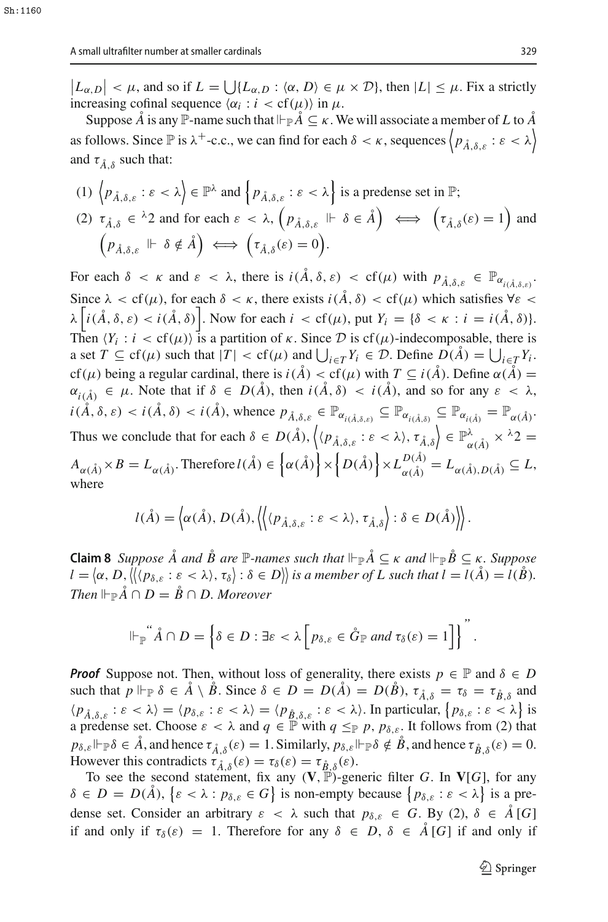$|L_{\alpha,D}| < \mu$ , and so if  $L = \bigcup \{L_{\alpha,D} : \langle \alpha, D \rangle \in \mu \times \mathcal{D} \}$ , then  $|L| \leq \mu$ . Fix a strictly increasing cofinal sequence  $\langle \alpha_i : i < \text{cf}(\mu) \rangle$  in  $\mu$ .

Suppose  $\AA$  is any  $\mathbb{P}$ -name such that  $\vdash_{\mathbb{P}} \AA \subseteq \kappa$ . We will associate a member of  $L$  to  $\AA$ as follows. Since  $\mathbb P$  is  $\lambda^+$ -c.c., we can find for each  $\delta < \kappa$ , sequences  $\left\langle p_{\hat A, \delta, \varepsilon} : \varepsilon < \lambda \right\rangle$ and  $\tau_{\hat{A} \hat{B}}$  such that:

(1) 
$$
\langle p_{\hat{A},\delta,\varepsilon} : \varepsilon < \lambda \rangle \in \mathbb{P}^{\lambda}
$$
 and  $\{p_{\hat{A},\delta,\varepsilon} : \varepsilon < \lambda \}$  is a predense set in  $\mathbb{P}$ ;  
\n(2)  $\tau_{\hat{A},\delta} \in {}^{\lambda}2$  and for each  $\varepsilon < \lambda$ ,  $(p_{\hat{A},\delta,\varepsilon} \Vdash \delta \in \hat{A}) \iff (\tau_{\hat{A},\delta}(\varepsilon) = 1)$  and  $(p_{\hat{A},\delta,\varepsilon} \Vdash \delta \notin \hat{A}) \iff (\tau_{\hat{A},\delta}(\varepsilon) = 0).$ 

For each  $\delta < \kappa$  and  $\varepsilon < \lambda$ , there is  $i(\mathring{A}, \delta, \varepsilon) < \text{cf}(\mu)$  with  $p_{\mathring{A}, \delta, \varepsilon} \in \mathbb{P}_{\alpha_{i(\mathring{A}, \delta, \varepsilon)}}$ . Since  $\lambda < \text{cf}(\mu)$ , for each  $\delta < \kappa$ , there exists  $i(\hat{A}, \delta) < \text{cf}(\mu)$  which satisfies  $\forall \varepsilon <$  $\lambda \left[ i(\AA, \delta, \varepsilon) < i(\AA, \delta) \right]$ . Now for each  $i < cf(\mu)$ , put  $Y_i = \{\delta < \kappa : i = i(\AA, \delta)\}.$ Then  $\langle Y_i : i < cf(\mu) \rangle$  is a partition of  $\kappa$ . Since  $\mathcal{D}$  is cf( $\mu$ )-indecomposable, there is a set  $T \subseteq \text{cf}(\mu)$  such that  $|T| < \text{cf}(\mu)$  and  $\bigcup_{i \in T} Y_i \in \mathcal{D}$ . Define  $D(\mathring{A}) = \bigcup_{i \in T} Y_i$ . cf( $\mu$ ) being a regular cardinal, there is  $i(\AA) < cf(\mu)$  with  $T \subseteq i(\AA)$ . Define  $\alpha(\AA) =$  $\alpha_{i(\hat{A})} \in \mu$ . Note that if  $\delta \in D(\hat{A})$ , then  $i(\hat{A}, \delta) < i(\hat{A})$ , and so for any  $\epsilon < \lambda$ ,  $i(\AA, \delta, \varepsilon) < i(\AA, \delta) < i(\AA)$ , whence  $p_{\AA, \delta, \varepsilon} \in \mathbb{P}_{\alpha_{i(\AA, \delta, \varepsilon)}} \subseteq \mathbb{P}_{\alpha_{i(\AA, \delta)}} \subseteq \mathbb{P}_{\alpha_{i(\AA)}} = \mathbb{P}_{\alpha(\AA)}$ . Thus we conclude that for each  $\delta \in D(\AA)$ ,  $\langle \langle p_{\AA,\delta,\varepsilon} : \varepsilon \langle \lambda \rangle, \tau_{\AA,\delta} \rangle \in \mathbb{P}^{\lambda}_{\alpha(\AA)} \times {\lambda}2 =$  $A_{\alpha(\AA)} \times B = L_{\alpha(\AA)}$ . Therefore  $l(\AA) \in \left\{ \alpha(\AA) \right\} \times \left\{ D(\AA) \right\} \times L_{\alpha(\AA)}^{D(\AA)} = L_{\alpha(\AA), D(\AA)} \subseteq L$ , where

$$
l(\mathring{A}) = \left\langle \alpha(\mathring{A}), D(\mathring{A}), \left\langle \left\langle \langle p_{\mathring{A}, \delta, \varepsilon} : \varepsilon < \lambda \rangle, \tau_{\mathring{A}, \delta} \right\rangle : \delta \in D(\mathring{A}) \right\rangle \right\rangle.
$$

<span id="page-4-0"></span>**Claim 8** *Suppose*  $\AA$  *and*  $\AA$  *B* are  $\mathbb{P}$ -names such that  $\Vdash_{\mathbb{P}} \AA \subseteq \kappa$  and  $\Vdash_{\mathbb{P}} \AA \subseteq \kappa$ . Suppose  $l = \langle \alpha, D, \langle \langle \langle p_{\delta, \varepsilon} : \varepsilon \langle \lambda \rangle, \tau_{\delta} \rangle : \delta \in D \rangle \rangle$  is a member of L such that  $l = l(\mathring{A}) = l(\mathring{B})$ . *Then*  $\Vdash_{\mathbb{P}} \mathring{A} \cap D = \mathring{B} \cap D$ *. Moreover* 

$$
\Vdash_{\mathbb{P}} \mathring{A} \cap D = \left\{ \delta \in D : \exists \varepsilon < \lambda \left[ p_{\delta, \varepsilon} \in \mathring{G}_{\mathbb{P}} \text{ and } \tau_{\delta}(\varepsilon) = 1 \right] \right\}^n.
$$

*Proof* Suppose not. Then, without loss of generality, there exists  $p \in \mathbb{P}$  and  $\delta \in D$ such that  $p \Vdash_{\mathbb{P}} \delta \in \mathring{A} \setminus \mathring{B}$ . Since  $\delta \in D = D(\mathring{A}) = D(\mathring{B})$ ,  $\tau_{\mathring{A}, \delta} = \tau_{\delta} = \tau_{\mathring{B}, \delta}$  and  $\langle p_{\mathring{A},\delta,\varepsilon} : \varepsilon < \lambda \rangle = \langle p_{\delta,\varepsilon} : \varepsilon < \lambda \rangle = \langle p_{\mathring{B},\delta,\varepsilon} : \varepsilon < \lambda \rangle$ . In particular,  $\{p_{\delta,\varepsilon} : \varepsilon < \lambda\}$  is a predense set. Choose  $\varepsilon < \lambda$  and  $q \in \mathbb{P}$  with  $q \leq_{\mathbb{P}} p$ ,  $p_{\delta,\varepsilon}$ . It follows from (2) that  $p_{\delta,\varepsilon} \Vdash_{\mathbb{P}} \delta \in \mathring{A}$ , and hence  $\tau_{\mathring{A},\delta}(\varepsilon) = 1$ . Similarly,  $p_{\delta,\varepsilon} \Vdash_{\mathbb{P}} \delta \notin \mathring{B}$ , and hence  $\tau_{\mathring{B},\delta}(\varepsilon) = 0$ . However this contradicts  $\tau_{\hat{A},\delta}^{\hat{\theta}}(\varepsilon) = \tau_{\delta}(\varepsilon) = \tau_{\hat{B},\delta}(\varepsilon)$ .

To see the second statement, fix any  $(V, \mathbb{P})$ -generic filter *G*. In  $V[G]$ , for any  $\delta \in D = D(\mathring{A}), \{\varepsilon < \lambda : p_{\delta,\varepsilon} \in G\}$  is non-empty because  $\{p_{\delta,\varepsilon} : \varepsilon < \lambda\}$  is a predense set. Consider an arbitrary  $\varepsilon < \lambda$  such that  $p_{\delta,\varepsilon} \in G$ . By (2),  $\delta \in \mathring{A}[G]$ if and only if  $\tau_{\delta}(\varepsilon) = 1$ . Therefore for any  $\delta \in D$ ,  $\delta \in \mathring{A}[G]$  if and only if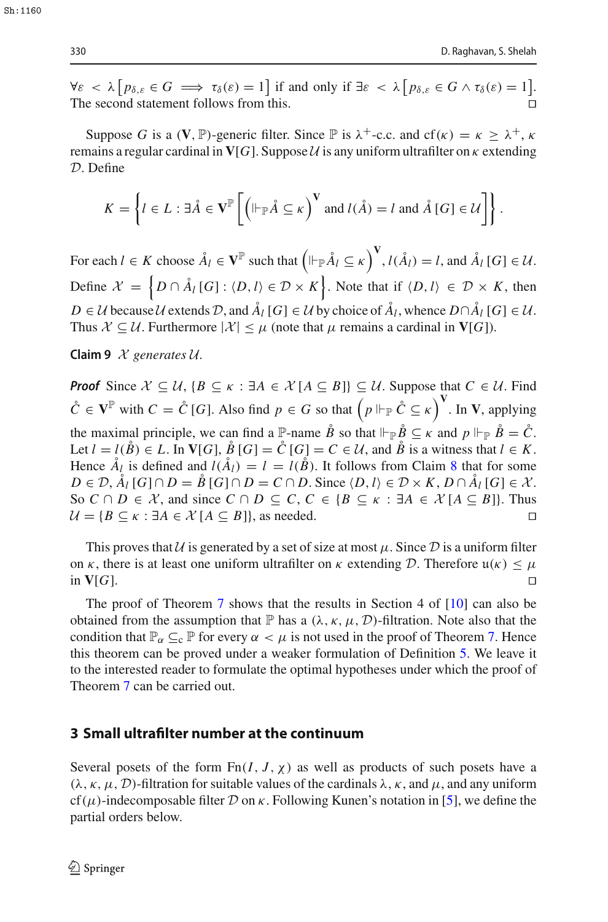$\forall \varepsilon < \lambda \left[ p_{\delta, \varepsilon} \in G \implies \tau_{\delta}(\varepsilon) = 1 \right]$  if and only if  $\exists \varepsilon < \lambda \left[ p_{\delta, \varepsilon} \in G \wedge \tau_{\delta}(\varepsilon) = 1 \right]$ . The second statement follows from this.

Suppose *G* is a (**V**, P)-generic filter. Since P is  $\lambda^+$ -c.c. and cf( $\kappa$ ) =  $\kappa \geq \lambda^+$ ,  $\kappa$ remains a regular cardinal in  $V[G]$ . Suppose  $U$  is any uniform ultrafilter on  $\kappa$  extending *D*. Define

$$
K = \left\{ l \in L : \exists \mathring{A} \in \mathbf{V}^{\mathbb{P}} \left[ \left( \|\vdash_{\mathbb{P}} \mathring{A} \subseteq \kappa \right)^{\mathbf{V}} \text{ and } l(\mathring{A}) = l \text{ and } \mathring{A} \left[ G \right] \in \mathcal{U} \right] \right\}.
$$

For each  $l \in K$  choose  $\AA_l \in \mathbf{V}^{\mathbb{P}}$  such that  $\left(\Vdash_{\mathbb{P}} \AA_l \subseteq \kappa\right)^{\mathbf{V}}, l(\AA_l) = l$ , and  $\AA_l$  [G]  $\in \mathcal{U}$ . Define  $\mathcal{X} = \left\{ D \cap \mathring{A}_l [G] : \langle D, l \rangle \in \mathcal{D} \times K \right\}$ . Note that if  $\langle D, l \rangle \in \mathcal{D} \times K$ , then *D* ∈ *U* because *U* extends *D*, and  $\AA$ <sup>*l*</sup> [*G*] ∈ *U* by choice of  $\AA$ <sup>*l*</sup>, whence  $D \cap \AA$ <sub>*l*</sub> [*G*] ∈ *U*. Thus  $\mathcal{X} \subseteq \mathcal{U}$ . Furthermore  $|\mathcal{X}| \leq \mu$  (note that  $\mu$  remains a cardinal in **V**[*G*]).

**Claim 9** *<sup>X</sup> generates <sup>U</sup>.*

*Proof* Since  $X \subseteq U$ ,  ${B \subseteq \kappa : \exists A \in \mathcal{X} [A \subseteq B]} \subseteq \mathcal{U}$ . Suppose that  $C \in \mathcal{U}$ . Find  $\mathring{C} \in \mathbf{V}^{\mathbb{P}}$  with  $C = \mathring{C}$  [*G*]. Also find  $p \in G$  so that  $(p \Vdash_{\mathbb{P}} \mathring{C} \subseteq \kappa)^{\mathbf{V}}$ . In **V**, applying the maximal principle, we can find a  $\mathbb{P}$ -name  $\mathring{B}$  so that  $\mathbb{P}_{\mathbb{P}} \mathring{B} \subseteq \kappa$  and  $p \mathbb{P}_{\mathbb{P}} \mathring{B} = \mathring{C}$ . Let  $l = l(\overset{\circ}{B}) \in L$ . In **V**[*G*],  $\overset{\circ}{B}$  [*G*] =  $\overset{\circ}{C}$  [*G*] =  $C \in \mathcal{U}$ , and  $\overset{\circ}{B}$  is a witness that  $l \in K$ . Hence  $A_l$  is defined and  $l(A_l) = l = l(\dot{B})$ . It follows from Claim [8](#page-4-0) that for some  $D \in \mathcal{D}, \hat{A}_l$  [*G*] ∩  $D = \hat{B}$  [*G*] ∩  $D = C \cap D$ . Since  $\langle D, l \rangle \in \mathcal{D} \times K$ ,  $D \cap \hat{A}_l$  [*G*] ∈  $\mathcal{X}$ . So *C* ∩ *D* ∈ *X*, and since *C* ∩ *D* ⊆ *C*, *C* ∈ {*B* ⊆  $\kappa$  : ∃*A* ∈  $\mathcal{X}[A \subseteq B]$ }. Thus  $\mathcal{U} = \{B \subseteq \kappa : \exists A \in \mathcal{X}[A \subseteq B]\}$ , as needed.  $U = {B \subseteq \kappa : \exists A \in \mathcal{X} [A \subseteq B]}$ , as needed.

This proves that *U* is generated by a set of size at most  $\mu$ . Since  $\mathcal D$  is a uniform filter on *κ*, there is at least one uniform ultrafilter on *κ* extending *D*. Therefore  $u(\kappa) \le \mu$  in **V**[*G*].  $\Box$  in  $V[G]$ .

The proof of Theorem [7](#page-3-0) shows that the results in Section 4 of  $[10]$  $[10]$  can also be obtained from the assumption that  $\mathbb P$  has a  $(\lambda, \kappa, \mu, \mathcal D)$ -filtration. Note also that the condition that  $\mathbb{P}_{\alpha} \subseteq_{c} \mathbb{P}$  for every  $\alpha < \mu$  is not used in the proof of Theorem [7.](#page-3-0) Hence this theorem can be proved under a weaker formulation of Definition [5.](#page-2-1) We leave it to the interested reader to formulate the optimal hypotheses under which the proof of Theorem [7](#page-3-0) can be carried out.

#### <span id="page-5-0"></span>**3 Small ultrafilter number at the continuum**

Several posets of the form  $Fn(I, J, \chi)$  as well as products of such posets have a  $(\lambda, \kappa, \mu, \mathcal{D})$ -filtration for suitable values of the cardinals  $\lambda, \kappa$ , and  $\mu$ , and any uniform cf( $\mu$ )-indecomposable filter  $\mathcal D$  on  $\kappa$ . Following Kunen's notation in [\[5\]](#page-9-0), we define the partial orders below.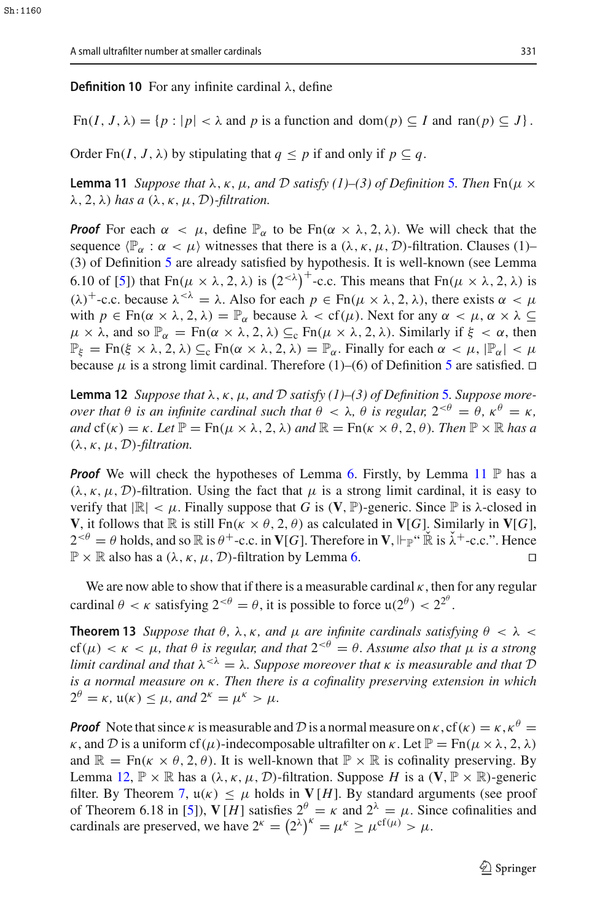**Definition 10** For any infinite cardinal λ, define

 $\text{Fn}(I, J, \lambda) = \{p : |p| < \lambda \text{ and } p \text{ is a function and } \text{dom}(p) \subseteq I \text{ and } \text{ran}(p) \subseteq J\}.$ 

<span id="page-6-0"></span>Order Fn(*I*, *J*,  $\lambda$ ) by stipulating that  $q \leq p$  if and only if  $p \subset q$ .

**Lemma 11** *Suppose that*  $\lambda$ ,  $\kappa$ ,  $\mu$ , and  $\mathcal{D}$  *satisfy* (1)–(3) of Definition [5](#page-2-1). Then  $\text{Fn}(\mu \times \mu)$ λ, 2, λ) *has a* (λ, κ, μ, *D*)*-filtration.*

*Proof* For each  $\alpha < \mu$ , define  $\mathbb{P}_{\alpha}$  to be  $Fn(\alpha \times \lambda, 2, \lambda)$ . We will check that the sequence  $\langle \mathbb{P}_{\alpha} : \alpha < \mu \rangle$  witnesses that there is a  $(\lambda, \kappa, \mu, \mathcal{D})$ -filtration. Clauses (1)– (3) of Definition [5](#page-2-1) are already satisfied by hypothesis. It is well-known (see Lemma 6.10 of [\[5](#page-9-0)]) that  $Fn(\mu \times \lambda, 2, \lambda)$  is  $(2^{-\lambda})^+$ -c.c. This means that  $Fn(\mu \times \lambda, 2, \lambda)$  is (λ)<sup>+</sup>-c.c. because  $λ<sup>{<</sup>λ} = λ$ . Also for each  $p ∈ \text{Fn}(μ × λ, 2, λ)$ , there exists  $α < μ$ with  $p \in \text{Fn}(\alpha \times \lambda, 2, \lambda) = \mathbb{P}_{\alpha}$  because  $\lambda < \text{cf}(\mu)$ . Next for any  $\alpha < \mu, \alpha \times \lambda \subseteq$  $\mu \times \lambda$ , and so  $\mathbb{P}_{\alpha} = \text{Fn}(\alpha \times \lambda, 2, \lambda) \subseteq_{\alpha} \text{Fn}(\mu \times \lambda, 2, \lambda)$ . Similarly if  $\xi < \alpha$ , then  $\mathbb{P}_{\xi} = \text{Fn}(\xi \times \lambda, 2, \lambda) \subseteq_c \text{Fn}(\alpha \times \lambda, 2, \lambda) = \mathbb{P}_{\alpha}$ . Finally for each  $\alpha < \mu$ ,  $|\mathbb{P}_{\alpha}| < \mu$ because  $\mu$  is a strong limit cardinal. Therefore (1)–(6) of Definition [5](#page-2-1) are satisfied.  $\Box$ 

<span id="page-6-1"></span>**Lemma 12** *Suppose that* λ, κ, μ*, and <sup>D</sup> satisfy (1)–(3) of Definition* [5](#page-2-1)*. Suppose moreover that*  $\theta$  *is an infinite cardinal such that*  $\theta < \lambda$ ,  $\theta$  *is regular,*  $2^{<\theta} = \theta$ ,  $\kappa^{\theta} = \kappa$ , *and*  $cf(\kappa) = \kappa$ *. Let*  $\mathbb{P} = \text{Fn}(\mu \times \lambda, 2, \lambda)$  *and*  $\mathbb{R} = \text{Fn}(\kappa \times \theta, 2, \theta)$ *. Then*  $\mathbb{P} \times \mathbb{R}$  *has a*  $(\lambda, \kappa, \mu, \mathcal{D})$ -filtration.

**Proof** We will check the hypotheses of Lemma [6.](#page-3-1) Firstly, by Lemma [11](#page-6-0)  $\mathbb{P}$  has a  $(\lambda, \kappa, \mu, \mathcal{D})$ -filtration. Using the fact that  $\mu$  is a strong limit cardinal, it is easy to verify that  $|\mathbb{R}| < \mu$ . Finally suppose that *G* is (V, P)-generic. Since P is  $\lambda$ -closed in **V**, it follows that  $\mathbb{R}$  is still  $\text{Fn}(\kappa \times \theta, 2, \theta)$  as calculated in **V**[*G*]. Similarly in **V**[*G*],  $2<sup>{-0}</sup> = \theta$  holds, and so  $\mathbb R$  is  $\theta^+$ -c.c. in **V**[*G*]. Therefore in **V**,  $\Vdash_{\mathbb P}$ "  $\mathbb R$  is  $\check{\lambda}^+$ -c.c.". Hence  $\mathbb{P} \times \mathbb{R}$  also has a  $(\lambda, \kappa, \mu, \mathcal{D})$ -filtration by Lemma [6.](#page-3-1)

<span id="page-6-2"></span>We are now able to show that if there is a measurable cardinal  $\kappa$ , then for any regular cardinal  $\theta < \kappa$  satisfying  $2^{<\theta} = \theta$ , it is possible to force  $\mathfrak{u}(2^{\theta}) < 2^{2^{\theta}}$ .

**Theorem 13** *Suppose that*  $\theta$ ,  $\lambda$ ,  $\kappa$ , and  $\mu$  are infinite cardinals satisfying  $\theta < \lambda <$ cf( $\mu$ )  $\lt$   $\kappa$   $\lt$   $\mu$ , that  $\theta$  is regular, and that  $2^{<\theta} = \theta$ . Assume also that  $\mu$  is a strong *limit cardinal and that*  $\lambda^{<\lambda} = \lambda$ . Suppose moreover that  $\kappa$  *is measurable and that*  $D$ *is a normal measure on* κ*. Then there is a cofinality preserving extension in which*  $2^{\theta} = \kappa$ ,  $\mu(\kappa) < \mu$ , and  $2^{\kappa} = \mu^{\kappa} > \mu$ .

<span id="page-6-3"></span>*Proof* Note that since  $\kappa$  is measurable and D is a normal measure on  $\kappa$ , cf( $\kappa$ ) =  $\kappa$ ,  $\kappa^{\theta}$  = κ, and D is a uniform cf( $\mu$ )-indecomposable ultrafilter on κ. Let  $\mathbb{P} = \text{Fn}(\mu \times \lambda, 2, \lambda)$ and  $\mathbb{R} = \text{Fn}(\kappa \times \theta, 2, \theta)$ . It is well-known that  $\mathbb{P} \times \mathbb{R}$  is cofinality preserving. By Lemma [12,](#page-6-1)  $\mathbb{P} \times \mathbb{R}$  has a  $(\lambda, \kappa, \mu, \mathcal{D})$ -filtration. Suppose *H* is a  $(\mathbf{V}, \mathbb{P} \times \mathbb{R})$ -generic filter. By Theorem [7,](#page-3-0)  $u(\kappa) \leq \mu$  holds in  $V[H]$ . By standard arguments (see proof of Theorem 6.18 in [\[5](#page-9-0)]),  $V[H]$  satisfies  $2^{\theta} = \kappa$  and  $2^{\lambda} = \mu$ . Since cofinalities and cardinals are preserved, we have  $2^k = (2^{\lambda})^k = \mu^k \ge \mu^{cf(\mu)} > \mu$ .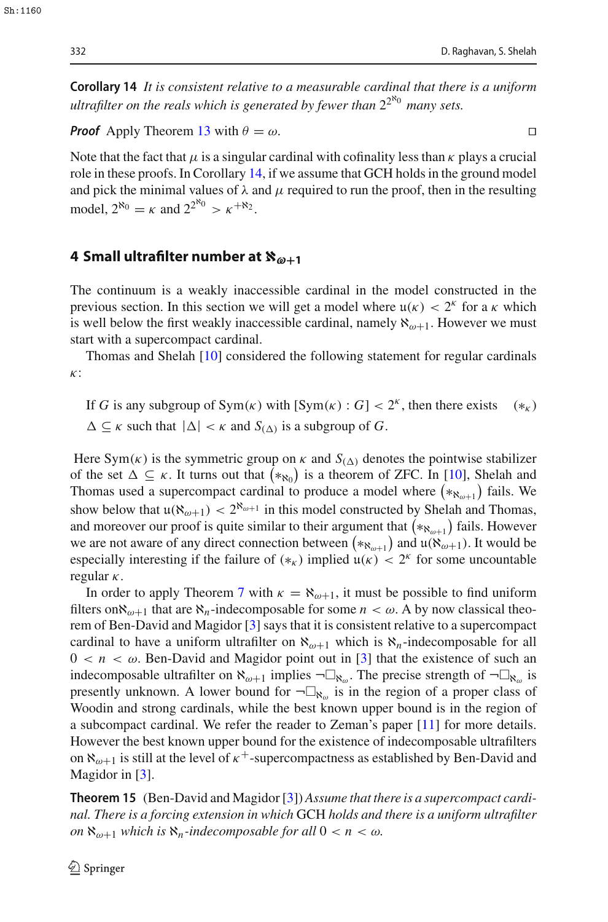**Corollary 14** *It is consistent relative to a measurable cardinal that there is a uniform ultrafilter on the reals which is generated by fewer than*  $2^{2^{\aleph_0}}$  *many sets.* 

*Proof* Apply Theorem [13](#page-6-2) with  $\theta = \omega$ .

Note that the fact that  $\mu$  is a singular cardinal with cofinality less than  $\kappa$  plays a crucial role in these proofs. In Corollary [14,](#page-6-3) if we assume that GCH holds in the ground model and pick the minimal values of  $\lambda$  and  $\mu$  required to run the proof, then in the resulting model,  $2^{\aleph_0} = \kappa$  and  $2^{2^{\aleph_0}} > \kappa^{+\aleph_2}$ .

## <span id="page-7-0"></span>**4 Small ultrafilter number at**  $\aleph_{\omega+1}$

The continuum is a weakly inaccessible cardinal in the model constructed in the previous section. In this section we will get a model where  $\mu(\kappa) < 2^{\kappa}$  for a  $\kappa$  which is well below the first weakly inaccessible cardinal, namely  $\aleph_{\omega+1}$ . However we must start with a supercompact cardinal.

Thomas and Shelah [\[10](#page-9-5)] considered the following statement for regular cardinals κ:

If *G* is any subgroup of  $Sym(\kappa)$  with  $[Sym(\kappa) : G] < 2^k$ , then there exists  $(*_{\kappa})$  $\Delta \subseteq \kappa$  such that  $|\Delta| < \kappa$  and  $S_{(\Delta)}$  is a subgroup of *G*.

Here  $Sym(\kappa)$  is the symmetric group on  $\kappa$  and  $S_{(\Lambda)}$  denotes the pointwise stabilizer of the set  $\Delta \subseteq \kappa$ . It turns out that  $(*\kappa_0)$  is a theorem of ZFC. In [\[10](#page-9-5)], Shelah and Thomas used a supercompact cardinal to produce a model where  $(*_{\aleph_{\omega+1}})$  fails. We show below that  $\mu(\aleph_{\omega+1}) < 2^{\aleph_{\omega+1}}$  in this model constructed by Shelah and Thomas, and moreover our proof is quite similar to their argument that  $(*\aleph_{\omega+1})$  fails. However we are not aware of any direct connection between  $(*_{\aleph_{\omega+1}})$  and  $\mathfrak{u}(\aleph_{\omega+1})$ . It would be especially interesting if the failure of  $(*_k)$  implied  $u(k) < 2^k$  for some uncountable regular  $\kappa$ .

In order to apply Theorem [7](#page-3-0) with  $\kappa = \aleph_{\omega+1}$ , it must be possible to find uniform filters on  $\aleph_{\omega+1}$  that are  $\aleph_n$ -indecomposable for some  $n < \omega$ . A by now classical theorem of Ben-David and Magidor [\[3](#page-9-6)] says that it is consistent relative to a supercompact cardinal to have a uniform ultrafilter on  $\aleph_{\omega+1}$  which is  $\aleph_n$ -indecomposable for all  $0 < n < \omega$ . Ben-David and Magidor point out in [\[3\]](#page-9-6) that the existence of such an indecomposable ultrafilter on  $\aleph_{\omega+1}$  implies  $\neg \Box_{\aleph_{\omega}}$ . The precise strength of  $\neg \Box_{\aleph_{\omega}}$  is presently unknown. A lower bound for  $\neg\Box_{\aleph_{\omega}}$  is in the region of a proper class of Woodin and strong cardinals, while the best known upper bound is in the region of a subcompact cardinal. We refer the reader to Zeman's paper [\[11\]](#page-9-9) for more details. However the best known upper bound for the existence of indecomposable ultrafilters on  $\aleph_{\omega+1}$  is still at the level of  $\kappa^+$ -supercompactness as established by Ben-David and Magidor in [\[3](#page-9-6)].

<span id="page-7-1"></span>**Theorem 15** (Ben-David and Magidor [\[3](#page-9-6)]) *Assume that there is a supercompact cardinal. There is a forcing extension in which* GCH *holds and there is a uniform ultrafilter on*  $\aleph_{\omega+1}$  *which is*  $\aleph_n$ *-indecomposable for all*  $0 < n < \omega$ *.*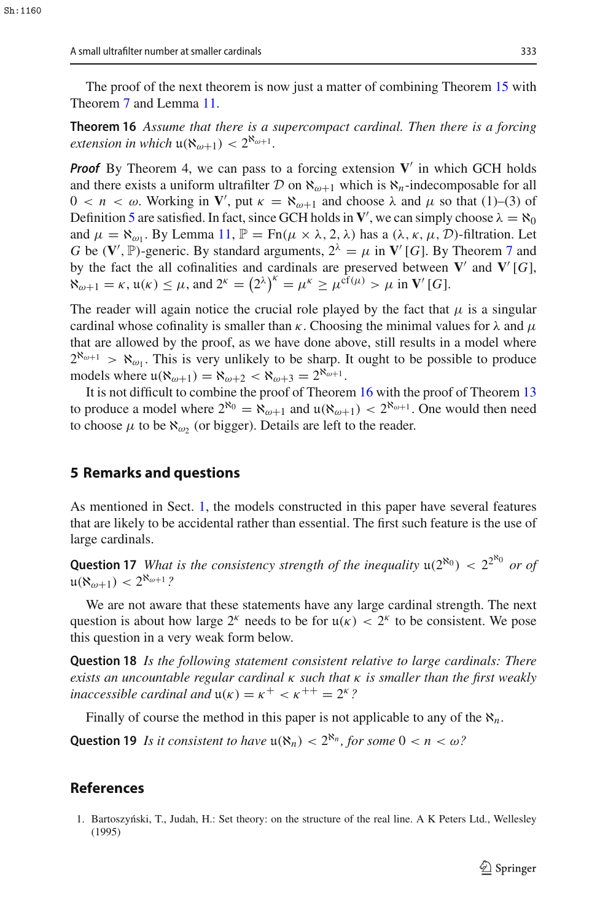<span id="page-8-2"></span>The proof of the next theorem is now just a matter of combining Theorem [15](#page-7-1) with Theorem [7](#page-3-0) and Lemma [11.](#page-6-0)

**Theorem 16** *Assume that there is a supercompact cardinal. Then there is a forcing extension in which*  $\mathfrak{u}(\aleph_{\omega+1}) < 2^{\aleph_{\omega+1}}$ *.* 

*Proof* By Theorem 4, we can pass to a forcing extension  $V'$  in which GCH holds and there exists a uniform ultrafilter  $D$  on  $\aleph_{\omega+1}$  which is  $\aleph_n$ -indecomposable for all  $0 < n < \omega$ . Working in **V**', put  $\kappa = \aleph_{\omega+1}$  and choose λ and  $\mu$  so that (1)–(3) of Definition [5](#page-2-1) are satisfied. In fact, since GCH holds in  $V'$ , we can simply choose  $\lambda = \aleph_0$ and  $\mu = \aleph_{\omega_1}$ . By Lemma [11,](#page-6-0)  $\mathbb{P} = \text{Fn}(\mu \times \lambda, 2, \lambda)$  has a  $(\lambda, \kappa, \mu, \mathcal{D})$ -filtration. Let *G* be  $(\mathbf{V}', \mathbb{P})$ -generic. By standard arguments,  $2^{\lambda} = \mu$  in  $\mathbf{V}'$  [*G*]. By Theorem [7](#page-3-0) and by the fact the all cofinalities and cardinals are preserved between  $V'$  and  $V'$  [*G*],  $\aleph_{\omega+1} = \kappa$ ,  $\mu(\kappa) \le \mu$ , and  $2^{\kappa} = (2^{\lambda})^{\kappa} = \mu^{\kappa} \ge \mu^{\hat{\text{cf}}(\mu)} > \mu$  in  $\mathbf{V}'[G]$ .

The reader will again notice the crucial role played by the fact that  $\mu$  is a singular cardinal whose cofinality is smaller than  $\kappa$ . Choosing the minimal values for  $\lambda$  and  $\mu$ that are allowed by the proof, as we have done above, still results in a model where  $2^{\aleph_{\omega+1}} > \aleph_{\omega_1}$ . This is very unlikely to be sharp. It ought to be possible to produce models where  $u(\aleph_{\omega+1}) = \aleph_{\omega+2} < \aleph_{\omega+3} = 2^{\aleph_{\omega+1}}$ .

It is not difficult to combine the proof of Theorem [16](#page-8-2) with the proof of Theorem [13](#page-6-2) to produce a model where  $2^{\aleph_0} = \aleph_{\omega+1}$  and  $\mu(\aleph_{\omega+1}) < 2^{\aleph_{\omega+1}}$ . One would then need to choose  $\mu$  to be  $\aleph_{\omega_2}$  (or bigger). Details are left to the reader.

#### <span id="page-8-1"></span>**5 Remarks and questions**

As mentioned in Sect. [1,](#page-0-0) the models constructed in this paper have several features that are likely to be accidental rather than essential. The first such feature is the use of large cardinals.

**Question 17** *What is the consistency strength of the inequality*  $u(2^{\aleph_0}) < 2^{2^{\aleph_0}}$  *or of*  $u(\aleph_{\omega+1}) < 2^{\aleph_{\omega+1}}$ ?

We are not aware that these statements have any large cardinal strength. The next question is about how large  $2^k$  needs to be for  $\mu(\kappa) < 2^k$  to be consistent. We pose this question in a very weak form below.

**Question 18** *Is the following statement consistent relative to large cardinals: There exists an uncountable regular cardinal* κ *such that* κ *is smaller than the first weakly inaccessible cardinal and*  $u(\kappa) = \kappa^+ < \kappa^{++} = 2^{\kappa}$ ?

Finally of course the method in this paper is not applicable to any of the  $\aleph_n$ .

**Question 19** *Is it consistent to have*  $u(\aleph_n) < 2^{\aleph_n}$ , for some  $0 < n < \omega$ ?

#### **References**

<span id="page-8-0"></span>1. Bartoszyński, T., Judah, H.: Set theory: on the structure of the real line. A K Peters Ltd., Wellesley (1995)